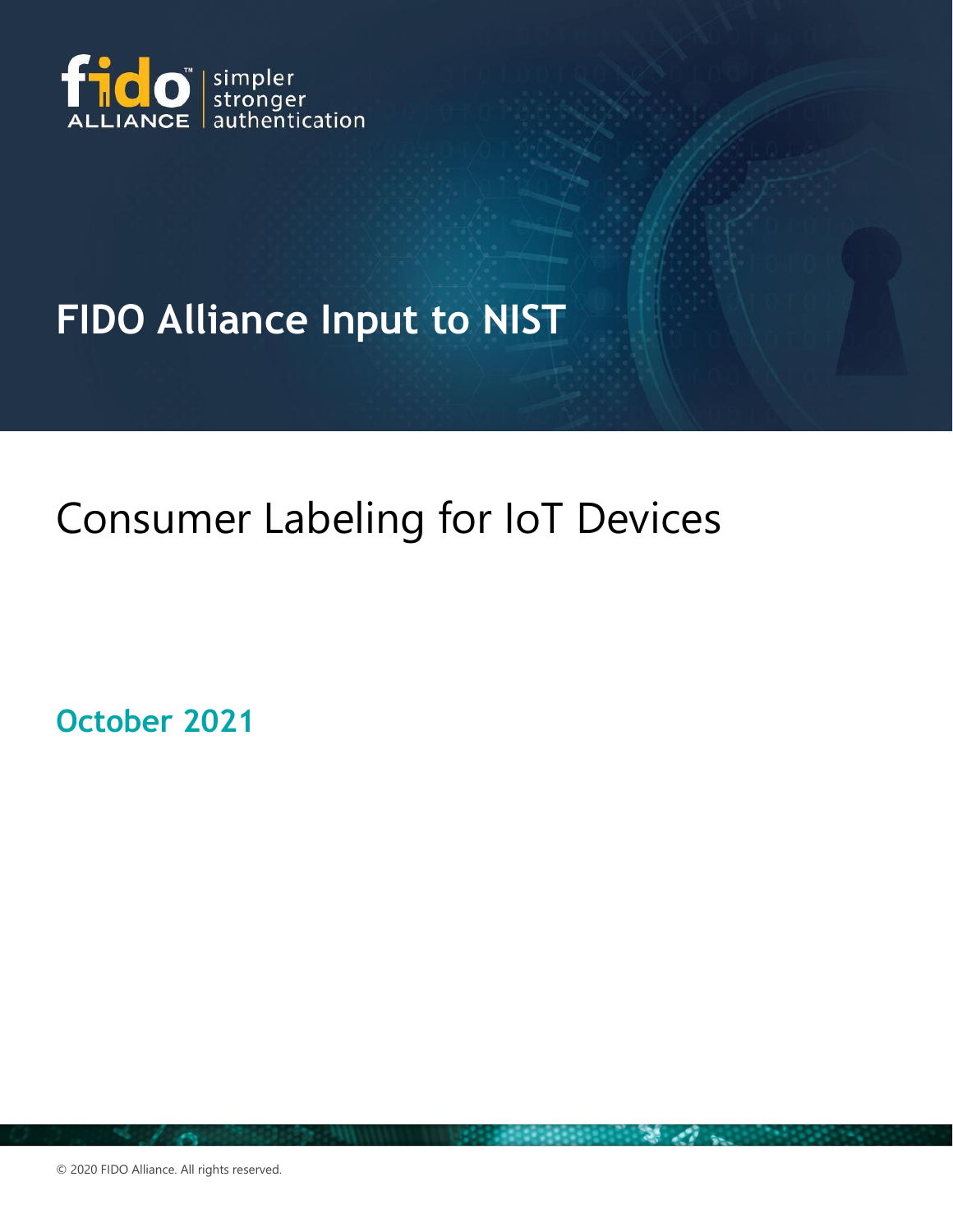

## **FIDO Alliance Input to NIST**

# Consumer Labeling for IoT Devices

**October 2021**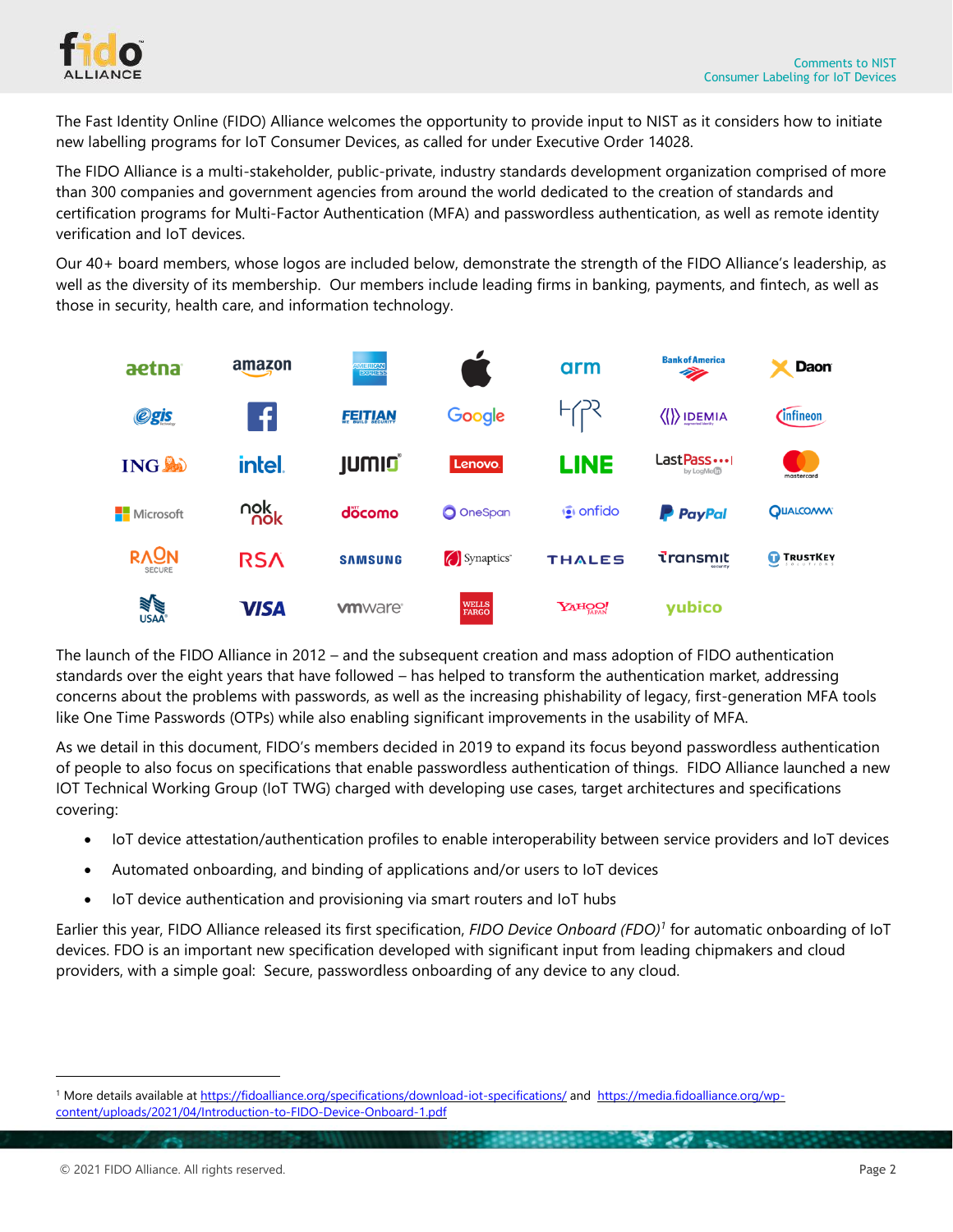

The Fast Identity Online (FIDO) Alliance welcomes the opportunity to provide input to NIST as it considers how to initiate new labelling programs for IoT Consumer Devices, as called for under Executive Order 14028.

The FIDO Alliance is a multi-stakeholder, public-private, industry standards development organization comprised of more than 300 companies and government agencies from around the world dedicated to the creation of standards and certification programs for Multi-Factor Authentication (MFA) and passwordless authentication, as well as remote identity verification and IoT devices.

Our 40+ board members, whose logos are included below, demonstrate the strength of the FIDO Alliance's leadership, as well as the diversity of its membership. Our members include leading firms in banking, payments, and fintech, as well as those in security, health care, and information technology.



The launch of the FIDO Alliance in 2012 – and the subsequent creation and mass adoption of FIDO authentication standards over the eight years that have followed – has helped to transform the authentication market, addressing concerns about the problems with passwords, as well as the increasing phishability of legacy, first-generation MFA tools like One Time Passwords (OTPs) while also enabling significant improvements in the usability of MFA.

As we detail in this document, FIDO's members decided in 2019 to expand its focus beyond passwordless authentication of people to also focus on specifications that enable passwordless authentication of things. FIDO Alliance launched a new IOT Technical Working Group (IoT TWG) charged with developing use cases, target architectures and specifications covering:

- IoT device attestation/authentication profiles to enable interoperability between service providers and IoT devices
- Automated onboarding, and binding of applications and/or users to IoT devices
- IoT device authentication and provisioning via smart routers and IoT hubs

Earlier this year, FIDO Alliance released its first specification, *FIDO Device Onboard (FDO) 1* for automatic onboarding of IoT devices. FDO is an important new specification developed with significant input from leading chipmakers and cloud providers, with a simple goal: Secure, passwordless onboarding of any device to any cloud.

<sup>&</sup>lt;sup>1</sup> More details available at <https://fidoalliance.org/specifications/download-iot-specifications/> and [https://media.fidoalliance.org/wp](https://media.fidoalliance.org/wp-content/uploads/2021/04/Introduction-to-FIDO-Device-Onboard-1.pdf)[content/uploads/2021/04/Introduction-to-FIDO-Device-Onboard-1.pdf](https://media.fidoalliance.org/wp-content/uploads/2021/04/Introduction-to-FIDO-Device-Onboard-1.pdf)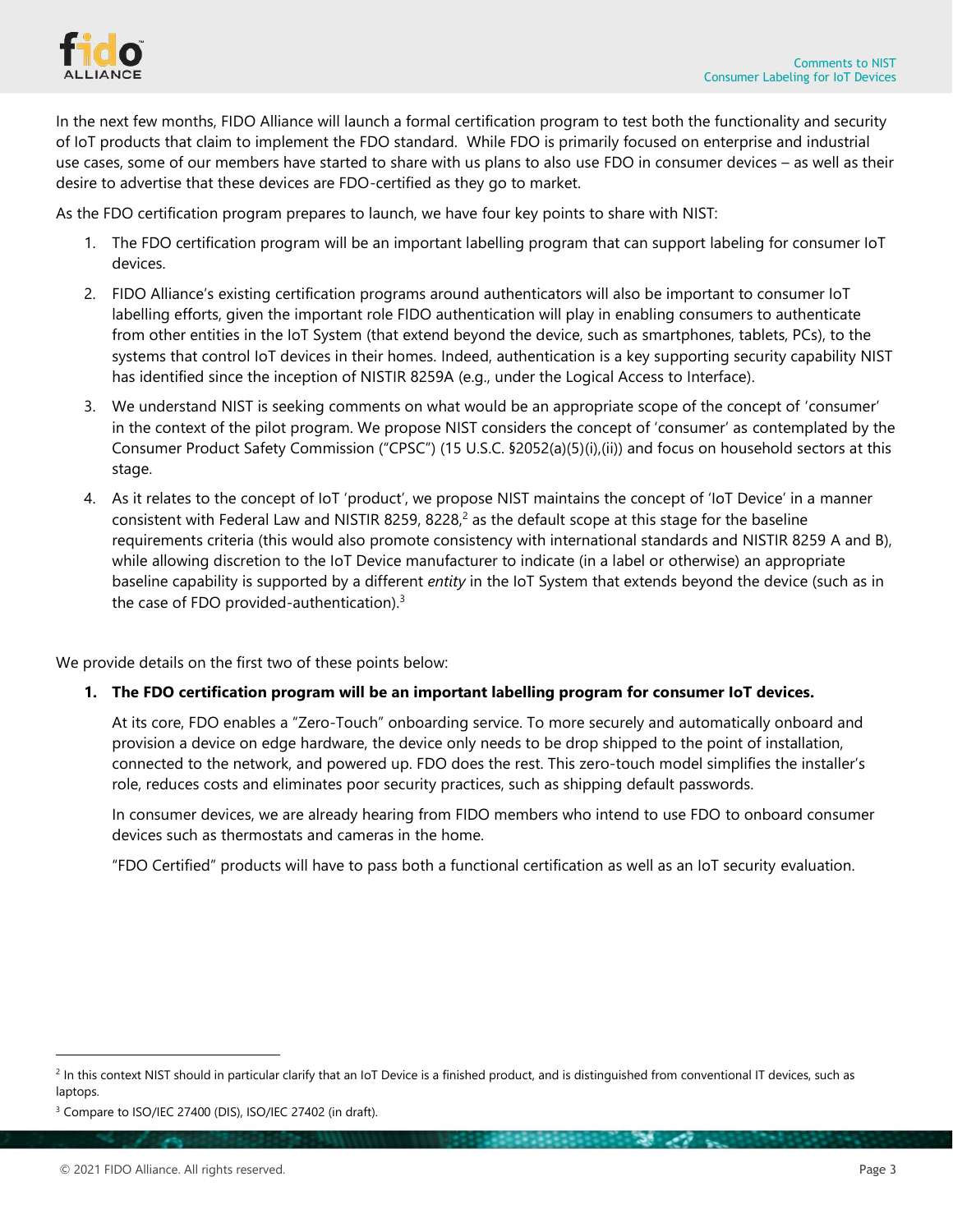

In the next few months, FIDO Alliance will launch a formal certification program to test both the functionality and security of IoT products that claim to implement the FDO standard. While FDO is primarily focused on enterprise and industrial use cases, some of our members have started to share with us plans to also use FDO in consumer devices – as well as their desire to advertise that these devices are FDO-certified as they go to market.

As the FDO certification program prepares to launch, we have four key points to share with NIST:

- 1. The FDO certification program will be an important labelling program that can support labeling for consumer IoT devices.
- 2. FIDO Alliance's existing certification programs around authenticators will also be important to consumer IoT labelling efforts, given the important role FIDO authentication will play in enabling consumers to authenticate from other entities in the IoT System (that extend beyond the device, such as smartphones, tablets, PCs), to the systems that control IoT devices in their homes. Indeed, authentication is a key supporting security capability NIST has identified since the inception of NISTIR 8259A (e.g., under the Logical Access to Interface).
- 3. We understand NIST is seeking comments on what would be an appropriate scope of the concept of 'consumer' in the context of the pilot program. We propose NIST considers the concept of 'consumer' as contemplated by the Consumer Product Safety Commission ("CPSC") (15 U.S.C. §2052(a)(5)(i),(ii)) and focus on household sectors at this stage.
- 4. As it relates to the concept of IoT 'product', we propose NIST maintains the concept of 'IoT Device' in a manner consistent with Federal Law and NISTIR 8259, 8228 $^2$  as the default scope at this stage for the baseline requirements criteria (this would also promote consistency with international standards and NISTIR 8259 A and B), while allowing discretion to the IoT Device manufacturer to indicate (in a label or otherwise) an appropriate baseline capability is supported by a different *entity* in the IoT System that extends beyond the device (such as in the case of FDO provided-authentication).<sup>3</sup>

We provide details on the first two of these points below:

### **1. The FDO certification program will be an important labelling program for consumer IoT devices.**

At its core, FDO enables a "Zero-Touch" onboarding service. To more securely and automatically onboard and provision a device on edge hardware, the device only needs to be drop shipped to the point of installation, connected to the network, and powered up. FDO does the rest. This zero-touch model simplifies the installer's role, reduces costs and eliminates poor security practices, such as shipping default passwords.

In consumer devices, we are already hearing from FIDO members who intend to use FDO to onboard consumer devices such as thermostats and cameras in the home.

"FDO Certified" products will have to pass both a functional certification as well as an IoT security evaluation.

**Contract Contract Contract Contract** 

<sup>&</sup>lt;sup>2</sup> In this context NIST should in particular clarify that an IoT Device is a finished product, and is distinguished from conventional IT devices, such as laptops.

<sup>&</sup>lt;sup>3</sup> Compare to ISO/IEC 27400 (DIS), ISO/IEC 27402 (in draft).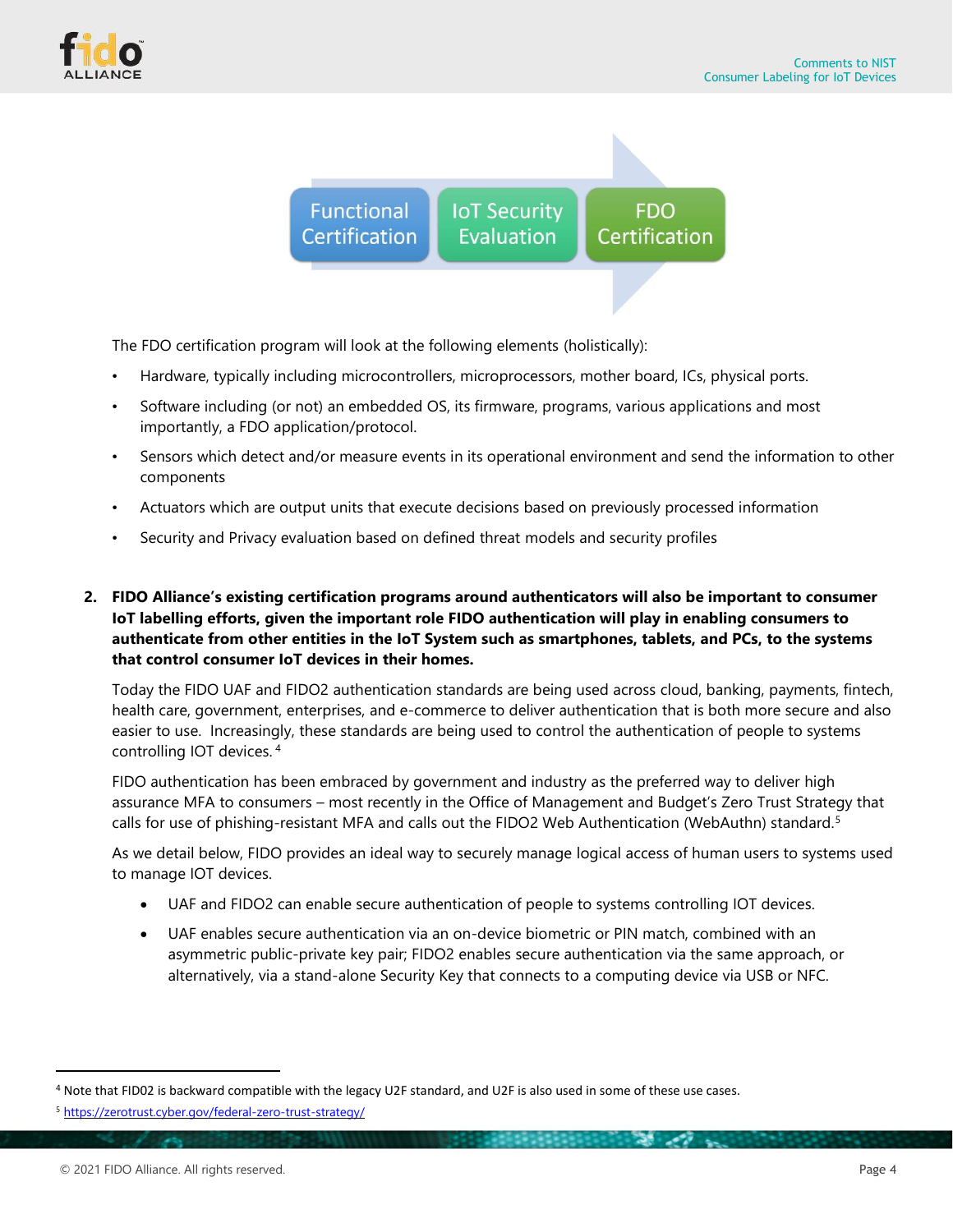



The FDO certification program will look at the following elements (holistically):

- Hardware, typically including microcontrollers, microprocessors, mother board, ICs, physical ports.
- Software including (or not) an embedded OS, its firmware, programs, various applications and most importantly, a FDO application/protocol.
- Sensors which detect and/or measure events in its operational environment and send the information to other components
- Actuators which are output units that execute decisions based on previously processed information
- Security and Privacy evaluation based on defined threat models and security profiles
- **2. FIDO Alliance's existing certification programs around authenticators will also be important to consumer IoT labelling efforts, given the important role FIDO authentication will play in enabling consumers to authenticate from other entities in the IoT System such as smartphones, tablets, and PCs, to the systems that control consumer IoT devices in their homes.**

Today the FIDO UAF and FIDO2 authentication standards are being used across cloud, banking, payments, fintech, health care, government, enterprises, and e-commerce to deliver authentication that is both more secure and also easier to use. Increasingly, these standards are being used to control the authentication of people to systems controlling IOT devices. <sup>4</sup>

FIDO authentication has been embraced by government and industry as the preferred way to deliver high assurance MFA to consumers – most recently in the Office of Management and Budget's Zero Trust Strategy that calls for use of phishing-resistant MFA and calls out the FIDO2 Web Authentication (WebAuthn) standard.<sup>5</sup>

As we detail below, FIDO provides an ideal way to securely manage logical access of human users to systems used to manage IOT devices.

- UAF and FIDO2 can enable secure authentication of people to systems controlling IOT devices.
- UAF enables secure authentication via an on-device biometric or PIN match, combined with an asymmetric public-private key pair; FIDO2 enables secure authentication via the same approach, or alternatively, via a stand-alone Security Key that connects to a computing device via USB or NFC.

<sup>4</sup> Note that FID02 is backward compatible with the legacy U2F standard, and U2F is also used in some of these use cases.

<sup>5</sup> <https://zerotrust.cyber.gov/federal-zero-trust-strategy/>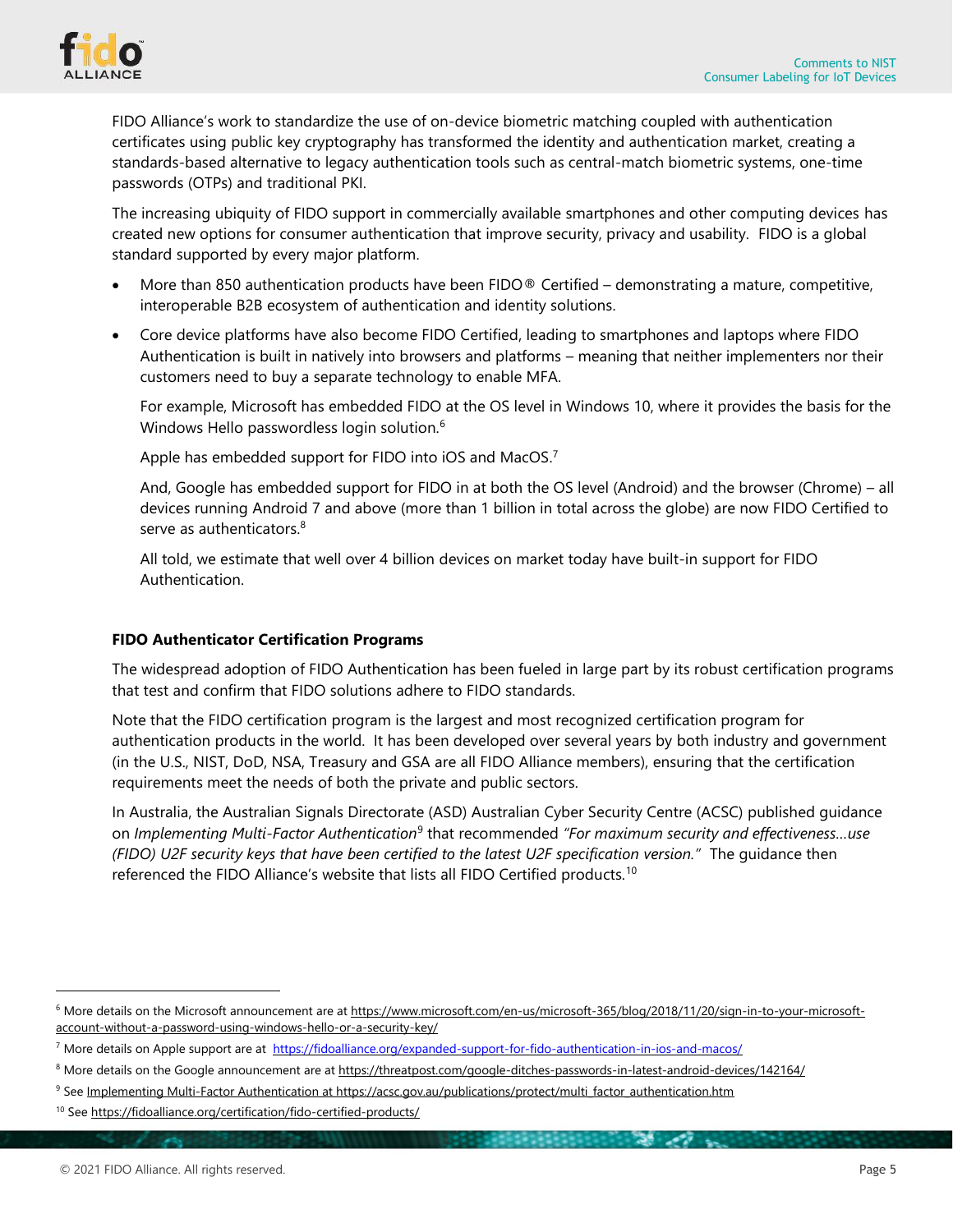

FIDO Alliance's work to standardize the use of on-device biometric matching coupled with authentication certificates using public key cryptography has transformed the identity and authentication market, creating a standards-based alternative to legacy authentication tools such as central-match biometric systems, one-time passwords (OTPs) and traditional PKI.

The increasing ubiquity of FIDO support in commercially available smartphones and other computing devices has created new options for consumer authentication that improve security, privacy and usability. FIDO is a global standard supported by every major platform.

- More than 850 authentication products have been FIDO® Certified demonstrating a mature, competitive, interoperable B2B ecosystem of authentication and identity solutions.
- Core device platforms have also become FIDO Certified, leading to smartphones and laptops where FIDO Authentication is built in natively into browsers and platforms – meaning that neither implementers nor their customers need to buy a separate technology to enable MFA.

For example, Microsoft has embedded FIDO at the OS level in Windows 10, where it provides the basis for the Windows Hello passwordless login solution.<sup>6</sup>

Apple has embedded support for FIDO into iOS and MacOS.<sup>7</sup>

And, Google has embedded support for FIDO in at both the OS level (Android) and the browser (Chrome) – all devices running Android 7 and above (more than 1 billion in total across the globe) are now FIDO Certified to serve as authenticators.<sup>8</sup>

All told, we estimate that well over 4 billion devices on market today have built-in support for FIDO Authentication.

### **FIDO Authenticator Certification Programs**

The widespread adoption of FIDO Authentication has been fueled in large part by its robust certification programs that test and confirm that FIDO solutions adhere to FIDO standards.

Note that the FIDO certification program is the largest and most recognized certification program for authentication products in the world. It has been developed over several years by both industry and government (in the U.S., NIST, DoD, NSA, Treasury and GSA are all FIDO Alliance members), ensuring that the certification requirements meet the needs of both the private and public sectors.

In Australia, the Australian Signals Directorate (ASD) Australian Cyber Security Centre (ACSC) published guidance on *Implementing Multi-Factor Authentication*<sup>9</sup> that recommended *"For maximum security and effectiveness…use (FIDO) U2F security keys that have been certified to the latest U2F specification version."* The guidance then referenced the FIDO Alliance's website that lists all FIDO Certified products.<sup>10</sup>

<sup>&</sup>lt;sup>6</sup> More details on the Microsoft announcement are at [https://www.microsoft.com/en-us/microsoft-365/blog/2018/11/20/sign-in-to-your-microsoft](https://www.microsoft.com/en-us/microsoft-365/blog/2018/11/20/sign-in-to-your-microsoft-account-without-a-password-using-windows-hello-or-a-security-key/)[account-without-a-password-using-windows-hello-or-a-security-key/](https://www.microsoft.com/en-us/microsoft-365/blog/2018/11/20/sign-in-to-your-microsoft-account-without-a-password-using-windows-hello-or-a-security-key/) 

<sup>&</sup>lt;sup>7</sup> More details on Apple support are at https://fidoalliance.org/expanded-support-for-fido-authentication-in-ios-and-macos/

<sup>&</sup>lt;sup>8</sup> More details on the Google announcement are at <https://threatpost.com/google-ditches-passwords-in-latest-android-devices/142164/>

<sup>&</sup>lt;sup>9</sup> See Implementing Multi-Factor [Authentication](https://acsc.gov.au/publications/protect/multi_factor_authentication.htm) at [https://acsc.gov.au/publications/protect/multi\\_factor\\_authentication.htm](https://acsc.gov.au/publications/protect/multi_factor_authentication.htm)

<sup>&</sup>lt;sup>10</sup> See <https://fidoalliance.org/certification/fido-certified-products/>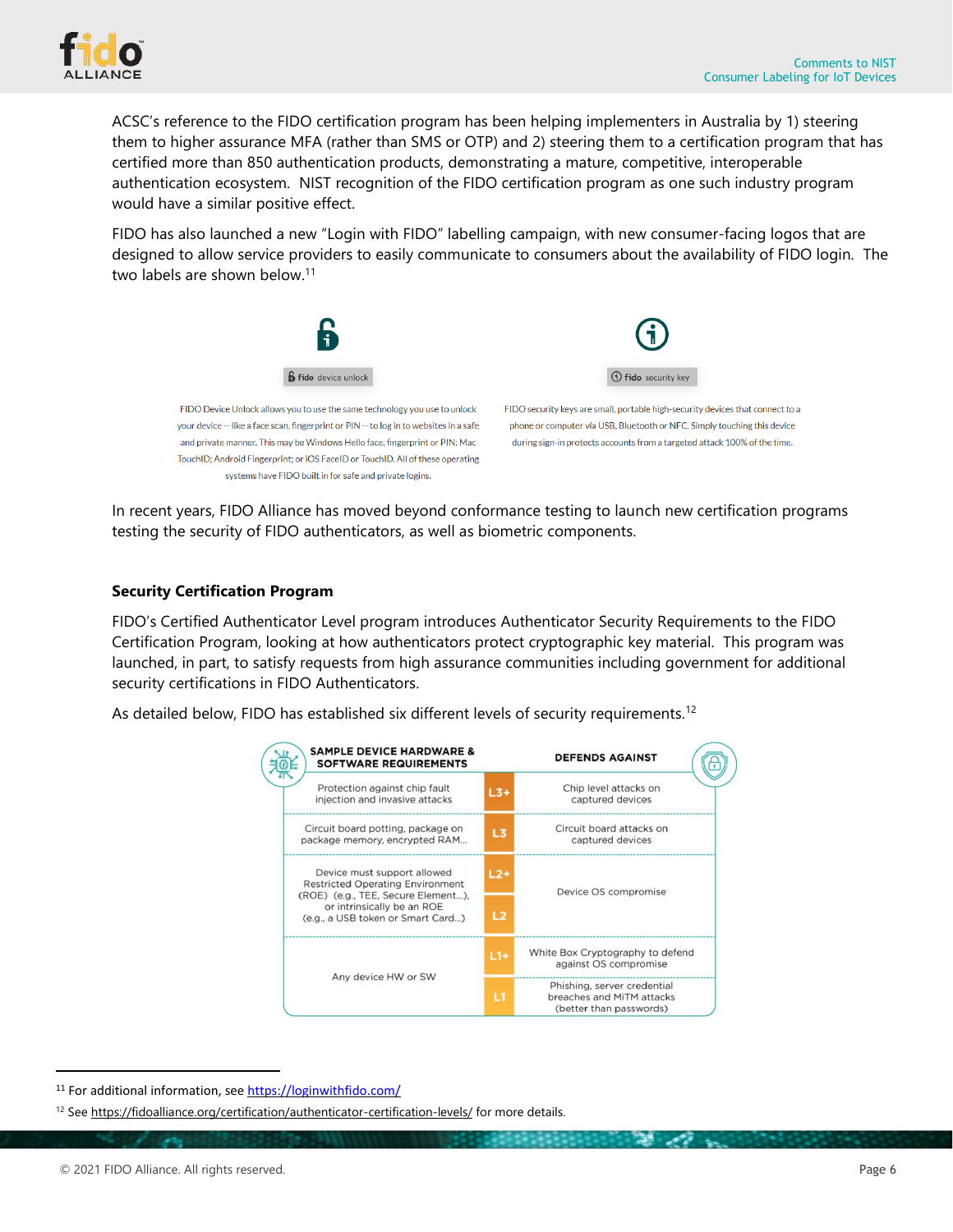

ACSC's reference to the FIDO certification program has been helping implementers in Australia by 1) steering them to higher assurance MFA (rather than SMS or OTP) and 2) steering them to a certification program that has certified more than 850 authentication products, demonstrating a mature, competitive, interoperable authentication ecosystem. NIST recognition of the FIDO certification program as one such industry program would have a similar positive effect.

FIDO has also launched a new "Login with FIDO" labelling campaign, with new consumer-facing logos that are designed to allow service providers to easily communicate to consumers about the availability of FIDO login. The two labels are shown below.<sup>11</sup>



In recent years, FIDO Alliance has moved beyond conformance testing to launch new certification programs testing the security of FIDO authenticators, as well as biometric components.

### **Security Certification Program**

FIDO's Certified Authenticator Level program introduces Authenticator Security Requirements to the FIDO Certification Program, looking at how authenticators protect cryptographic key material. This program was launched, in part, to satisfy requests from high assurance communities including government for additional security certifications in FIDO Authenticators.

As detailed below, FIDO has established six different levels of security requirements.<sup>12</sup>

| <b>SAMPLE DEVICE HARDWARE &amp;</b><br><b>SOFTWARE REQUIREMENTS</b>                                                                                                             |       | <b>DEFENDS AGAINST</b>                                                              |
|---------------------------------------------------------------------------------------------------------------------------------------------------------------------------------|-------|-------------------------------------------------------------------------------------|
| Protection against chip fault<br>injection and invasive attacks                                                                                                                 | $L3+$ | Chip level attacks on<br>captured devices                                           |
| Circuit board potting, package on<br>package memory, encrypted RAM                                                                                                              | L3    | Circuit board attacks on<br>captured devices                                        |
| Device must support allowed<br><b>Restricted Operating Environment</b><br>(ROE) (e.g., TEE, Secure Element),<br>or intrinsically be an ROE<br>(e.g., a USB token or Smart Card) | $L2+$ | Device OS compromise                                                                |
|                                                                                                                                                                                 | L2    |                                                                                     |
| Any device HW or SW                                                                                                                                                             | $L1+$ | White Box Cryptography to defend<br>against OS compromise                           |
|                                                                                                                                                                                 | L1    | Phishing, server credential<br>breaches and MiTM attacks<br>(better than passwords) |

<sup>11</sup> For additional information, see <https://loginwithfido.com/>

<sup>&</sup>lt;sup>12</sup> See <https://fidoalliance.org/certification/authenticator-certification-levels/> for more details.